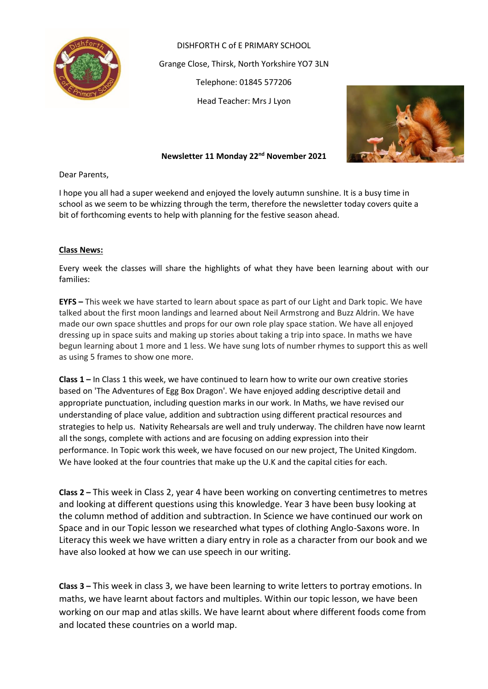

DISHFORTH C of E PRIMARY SCHOOL Grange Close, Thirsk, North Yorkshire YO7 3LN Telephone: 01845 577206 Head Teacher: Mrs J Lyon



**Newsletter 11 Monday 22nd November 2021**

Dear Parents,

I hope you all had a super weekend and enjoyed the lovely autumn sunshine. It is a busy time in school as we seem to be whizzing through the term, therefore the newsletter today covers quite a bit of forthcoming events to help with planning for the festive season ahead.

# **Class News:**

Every week the classes will share the highlights of what they have been learning about with our families:

**EYFS –** This week we have started to learn about space as part of our Light and Dark topic. We have talked about the first moon landings and learned about Neil Armstrong and Buzz Aldrin. We have made our own space shuttles and props for our own role play space station. We have all enjoyed dressing up in space suits and making up stories about taking a trip into space. In maths we have begun learning about 1 more and 1 less. We have sung lots of number rhymes to support this as well as using 5 frames to show one more.

**Class 1 –** In Class 1 this week, we have continued to learn how to write our own creative stories based on 'The Adventures of Egg Box Dragon'. We have enjoyed adding descriptive detail and appropriate punctuation, including question marks in our work. In Maths, we have revised our understanding of place value, addition and subtraction using different practical resources and strategies to help us. Nativity Rehearsals are well and truly underway. The children have now learnt all the songs, complete with actions and are focusing on adding expression into their performance. In Topic work this week, we have focused on our new project, The United Kingdom. We have looked at the four countries that make up the U.K and the capital cities for each.

**Class 2 –** This week in Class 2, year 4 have been working on converting centimetres to metres and looking at different questions using this knowledge. Year 3 have been busy looking at the column method of addition and subtraction. In Science we have continued our work on Space and in our Topic lesson we researched what types of clothing Anglo-Saxons wore. In Literacy this week we have written a diary entry in role as a character from our book and we have also looked at how we can use speech in our writing.

**Class 3 –** This week in class 3, we have been learning to write letters to portray emotions. In maths, we have learnt about factors and multiples. Within our topic lesson, we have been working on our map and atlas skills. We have learnt about where different foods come from and located these countries on a world map.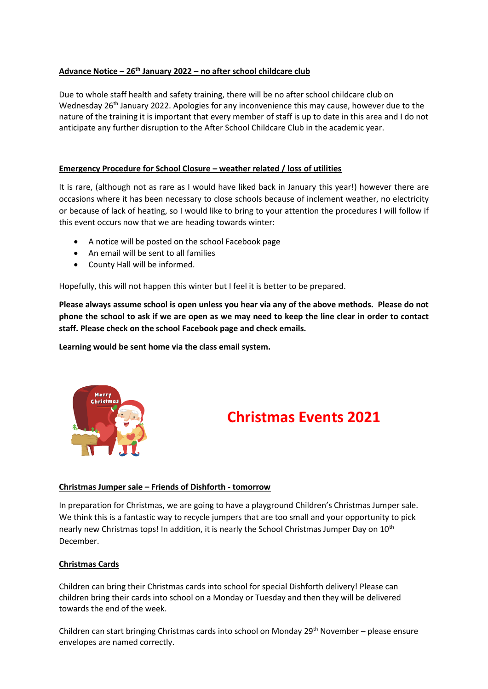# **Advance Notice – 26th January 2022 – no after school childcare club**

Due to whole staff health and safety training, there will be no after school childcare club on Wednesday 26<sup>th</sup> January 2022. Apologies for any inconvenience this may cause, however due to the nature of the training it is important that every member of staff is up to date in this area and I do not anticipate any further disruption to the After School Childcare Club in the academic year.

# **Emergency Procedure for School Closure – weather related / loss of utilities**

It is rare, (although not as rare as I would have liked back in January this year!) however there are occasions where it has been necessary to close schools because of inclement weather, no electricity or because of lack of heating, so I would like to bring to your attention the procedures I will follow if this event occurs now that we are heading towards winter:

- A notice will be posted on the school Facebook page
- An email will be sent to all families
- County Hall will be informed.

Hopefully, this will not happen this winter but I feel it is better to be prepared.

**Please always assume school is open unless you hear via any of the above methods. Please do not phone the school to ask if we are open as we may need to keep the line clear in order to contact staff. Please check on the school Facebook page and check emails.** 

**Learning would be sent home via the class email system.**



# **Christmas Events 2021**

# **Christmas Jumper sale – Friends of Dishforth - tomorrow**

In preparation for Christmas, we are going to have a playground Children's Christmas Jumper sale. We think this is a fantastic way to recycle jumpers that are too small and your opportunity to pick nearly new Christmas tops! In addition, it is nearly the School Christmas Jumper Day on 10<sup>th</sup> December.

# **Christmas Cards**

Children can bring their Christmas cards into school for special Dishforth delivery! Please can children bring their cards into school on a Monday or Tuesday and then they will be delivered towards the end of the week.

Children can start bringing Christmas cards into school on Monday 29<sup>th</sup> November – please ensure envelopes are named correctly.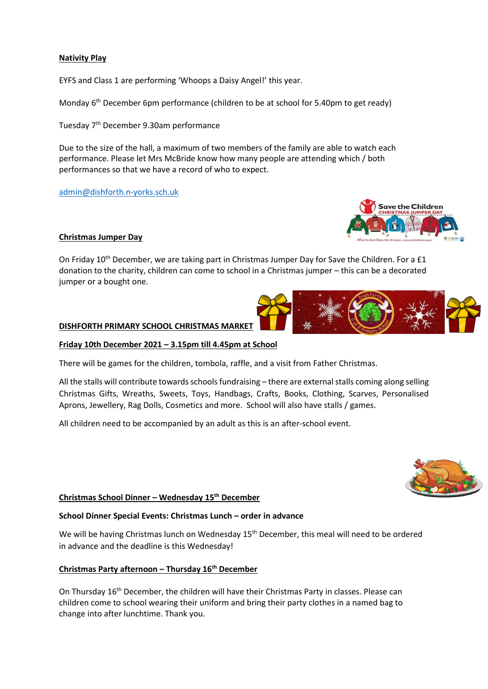## **Nativity Play**

EYFS and Class 1 are performing 'Whoops a Daisy Angel!' this year.

Monday 6<sup>th</sup> December 6pm performance (children to be at school for 5.40pm to get ready)

Tuesday 7th December 9.30am performance

Due to the size of the hall, a maximum of two members of the family are able to watch each performance. Please let Mrs McBride know how many people are attending which / both performances so that we have a record of who to expect.

[admin@dishforth.n-yorks.sch.uk](mailto:admin@dishforth.n-yorks.sch.uk)

#### **Christmas Jumper Day**

On Friday 10<sup>th</sup> December, we are taking part in Christmas Jumper Day for Save the Children. For a £1 donation to the charity, children can come to school in a Christmas jumper – this can be a decorated jumper or a bought one.

#### **DISHFORTH PRIMARY SCHOOL CHRISTMAS MARKET**

#### **Friday 10th December 2021 – 3.15pm till 4.45pm at School**

There will be games for the children, tombola, raffle, and a visit from Father Christmas.

All the stalls will contribute towards schools fundraising – there are external stalls coming along selling Christmas Gifts, Wreaths, Sweets, Toys, Handbags, Crafts, Books, Clothing, Scarves, Personalised Aprons, Jewellery, Rag Dolls, Cosmetics and more. School will also have stalls / games.

All children need to be accompanied by an adult as this is an after-school event.

#### **Christmas School Dinner – Wednesday 15th December**

#### **School Dinner Special Events: Christmas Lunch – order in advance**

We will be having Christmas lunch on Wednesday 15<sup>th</sup> December, this meal will need to be ordered in advance and the deadline is this Wednesday!

#### **Christmas Party afternoon – Thursday 16th December**

On Thursday 16<sup>th</sup> December, the children will have their Christmas Party in classes. Please can children come to school wearing their uniform and bring their party clothes in a named bag to change into after lunchtime. Thank you.





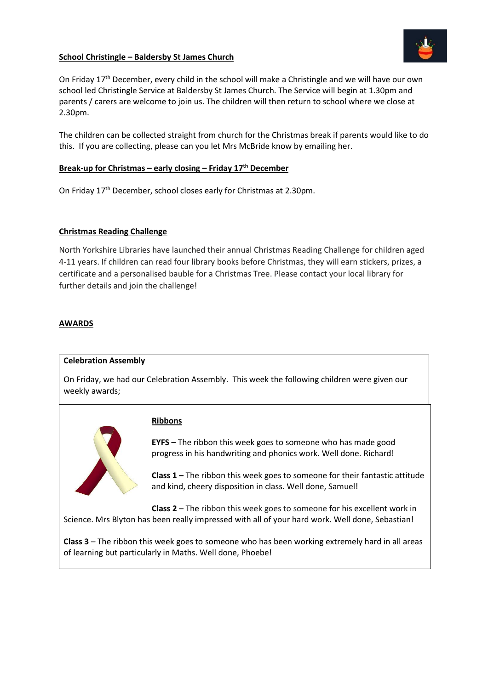## **School Christingle – Baldersby St James Church**



On Friday 17<sup>th</sup> December, every child in the school will make a Christingle and we will have our own school led Christingle Service at Baldersby St James Church. The Service will begin at 1.30pm and parents / carers are welcome to join us. The children will then return to school where we close at 2.30pm.

The children can be collected straight from church for the Christmas break if parents would like to do this. If you are collecting, please can you let Mrs McBride know by emailing her.

#### **Break-up for Christmas – early closing – Friday 17th December**

On Friday 17th December, school closes early for Christmas at 2.30pm.

#### **Christmas Reading Challenge**

North Yorkshire Libraries have launched their annual Christmas Reading Challenge for children aged 4-11 years. If children can read four library books before Christmas, they will earn stickers, prizes, a certificate and a personalised bauble for a Christmas Tree. Please contact your local library for further details and join the challenge!

## **AWARDS**

#### **Celebration Assembly**

On Friday, we had our Celebration Assembly. This week the following children were given our weekly awards;



#### **Ribbons**

**EYFS** – The ribbon this week goes to someone who has made good progress in his handwriting and phonics work. Well done. Richard!

**Class 1 –** The ribbon this week goes to someone for their fantastic attitude and kind, cheery disposition in class. Well done, Samuel!

**Class 2** – The ribbon this week goes to someone for his excellent work in Science. Mrs Blyton has been really impressed with all of your hard work. Well done, Sebastian!

**Class 3** – The ribbon this week goes to someone who has been working extremely hard in all areas of learning but particularly in Maths. Well done, Phoebe!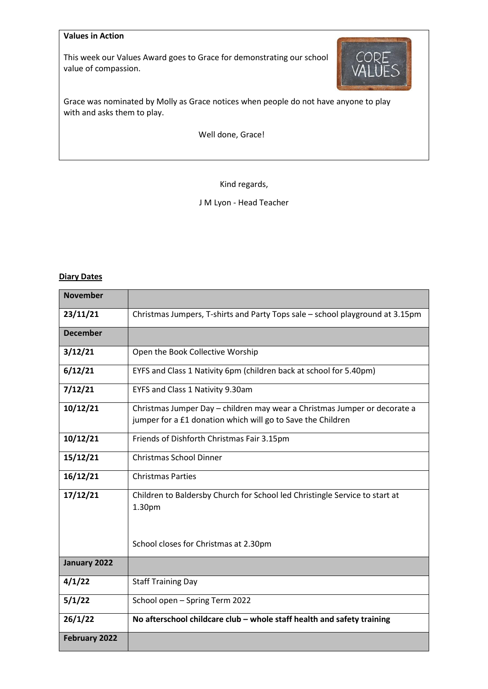# **Values in Action**

This week our Values Award goes to Grace for demonstrating our school value of compassion.



Grace was nominated by Molly as Grace notices when people do not have anyone to play with and asks them to play.

Well done, Grace!

Kind regards,

J M Lyon - Head Teacher

## **Diary Dates**

| <b>November</b>      |                                                                                                                                          |  |  |  |  |  |
|----------------------|------------------------------------------------------------------------------------------------------------------------------------------|--|--|--|--|--|
| 23/11/21             | Christmas Jumpers, T-shirts and Party Tops sale – school playground at 3.15pm                                                            |  |  |  |  |  |
| <b>December</b>      |                                                                                                                                          |  |  |  |  |  |
| 3/12/21              | Open the Book Collective Worship                                                                                                         |  |  |  |  |  |
| 6/12/21              | EYFS and Class 1 Nativity 6pm (children back at school for 5.40pm)                                                                       |  |  |  |  |  |
| 7/12/21              | EYFS and Class 1 Nativity 9.30am                                                                                                         |  |  |  |  |  |
| 10/12/21             | Christmas Jumper Day - children may wear a Christmas Jumper or decorate a<br>jumper for a £1 donation which will go to Save the Children |  |  |  |  |  |
| 10/12/21             | Friends of Dishforth Christmas Fair 3.15pm                                                                                               |  |  |  |  |  |
| 15/12/21             | <b>Christmas School Dinner</b>                                                                                                           |  |  |  |  |  |
| 16/12/21             | <b>Christmas Parties</b>                                                                                                                 |  |  |  |  |  |
| 17/12/21             | Children to Baldersby Church for School led Christingle Service to start at<br>1.30pm                                                    |  |  |  |  |  |
|                      | School closes for Christmas at 2.30pm                                                                                                    |  |  |  |  |  |
| January 2022         |                                                                                                                                          |  |  |  |  |  |
| 4/1/22               | <b>Staff Training Day</b>                                                                                                                |  |  |  |  |  |
| 5/1/22               | School open - Spring Term 2022                                                                                                           |  |  |  |  |  |
| 26/1/22              | No afterschool childcare club - whole staff health and safety training                                                                   |  |  |  |  |  |
| <b>February 2022</b> |                                                                                                                                          |  |  |  |  |  |